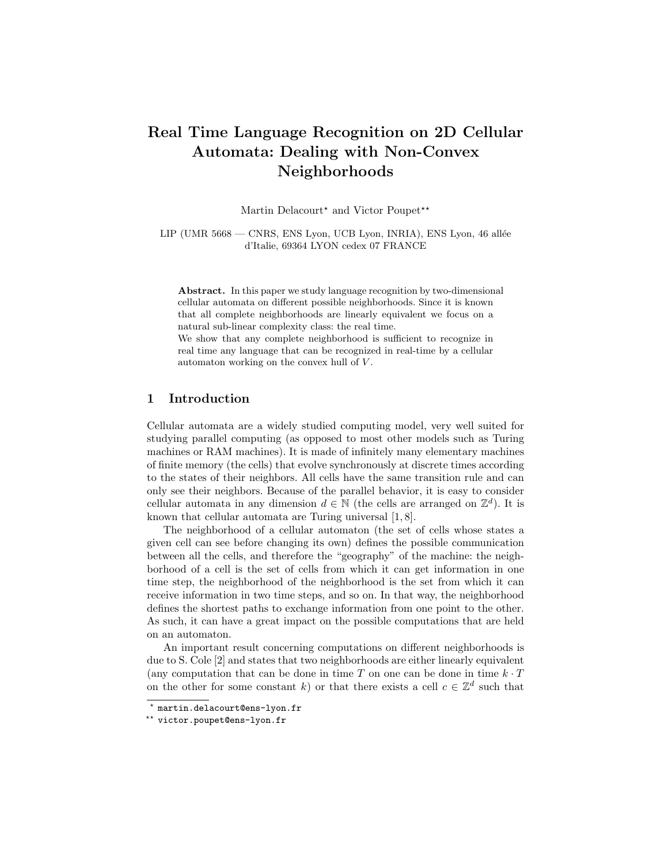# Real Time Language Recognition on 2D Cellular Automata: Dealing with Non-Convex Neighborhoods

Martin Delacourt\* and Victor Poupet\*\*

LIP (UMR 5668 — CNRS, ENS Lyon, UCB Lyon, INRIA), ENS Lyon, 46 allée d'Italie, 69364 LYON cedex 07 FRANCE

Abstract. In this paper we study language recognition by two-dimensional cellular automata on different possible neighborhoods. Since it is known that all complete neighborhoods are linearly equivalent we focus on a natural sub-linear complexity class: the real time.

We show that any complete neighborhood is sufficient to recognize in real time any language that can be recognized in real-time by a cellular automaton working on the convex hull of V .

# 1 Introduction

Cellular automata are a widely studied computing model, very well suited for studying parallel computing (as opposed to most other models such as Turing machines or RAM machines). It is made of infinitely many elementary machines of finite memory (the cells) that evolve synchronously at discrete times according to the states of their neighbors. All cells have the same transition rule and can only see their neighbors. Because of the parallel behavior, it is easy to consider cellular automata in any dimension  $d \in \mathbb{N}$  (the cells are arranged on  $\mathbb{Z}^d$ ). It is known that cellular automata are Turing universal [1, 8].

The neighborhood of a cellular automaton (the set of cells whose states a given cell can see before changing its own) defines the possible communication between all the cells, and therefore the "geography" of the machine: the neighborhood of a cell is the set of cells from which it can get information in one time step, the neighborhood of the neighborhood is the set from which it can receive information in two time steps, and so on. In that way, the neighborhood defines the shortest paths to exchange information from one point to the other. As such, it can have a great impact on the possible computations that are held on an automaton.

An important result concerning computations on different neighborhoods is due to S. Cole [2] and states that two neighborhoods are either linearly equivalent (any computation that can be done in time  $T$  on one can be done in time  $k \cdot T$ on the other for some constant k) or that there exists a cell  $c \in \mathbb{Z}^d$  such that

<sup>?</sup> martin.delacourt@ens-lyon.fr

<sup>\*\*</sup> victor.poupet@ens-lyon.fr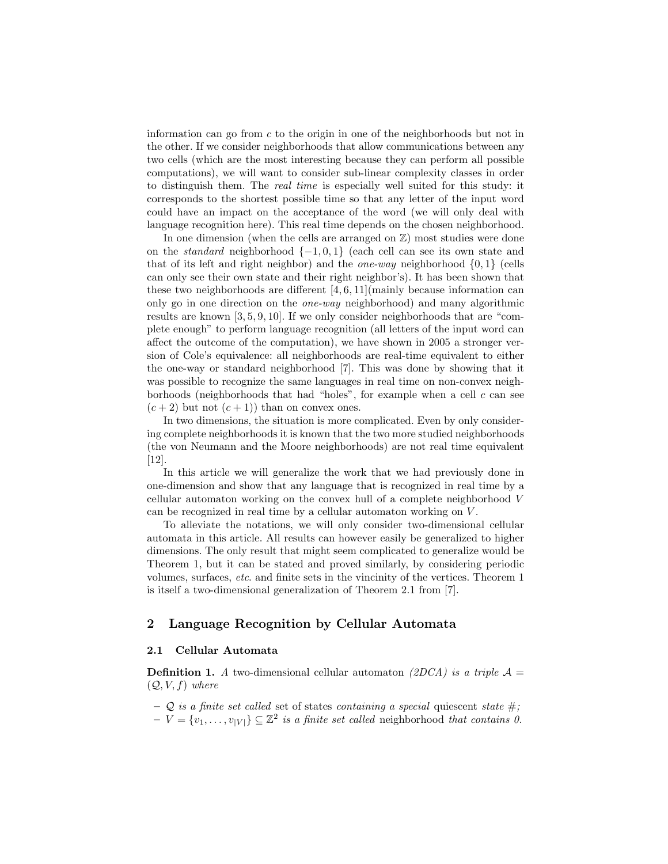information can go from  $c$  to the origin in one of the neighborhoods but not in the other. If we consider neighborhoods that allow communications between any two cells (which are the most interesting because they can perform all possible computations), we will want to consider sub-linear complexity classes in order to distinguish them. The real time is especially well suited for this study: it corresponds to the shortest possible time so that any letter of the input word could have an impact on the acceptance of the word (we will only deal with language recognition here). This real time depends on the chosen neighborhood.

In one dimension (when the cells are arranged on  $\mathbb{Z}$ ) most studies were done on the *standard* neighborhood  $\{-1,0,1\}$  (each cell can see its own state and that of its left and right neighbor) and the *one-way* neighborhood  $\{0, 1\}$  (cells can only see their own state and their right neighbor's). It has been shown that these two neighborhoods are different  $[4, 6, 11]$  (mainly because information can only go in one direction on the one-way neighborhood) and many algorithmic results are known [3, 5, 9, 10]. If we only consider neighborhoods that are "complete enough" to perform language recognition (all letters of the input word can affect the outcome of the computation), we have shown in 2005 a stronger version of Cole's equivalence: all neighborhoods are real-time equivalent to either the one-way or standard neighborhood [7]. This was done by showing that it was possible to recognize the same languages in real time on non-convex neighborhoods (neighborhoods that had "holes", for example when a cell  $c$  can see  $(c+2)$  but not  $(c+1)$  than on convex ones.

In two dimensions, the situation is more complicated. Even by only considering complete neighborhoods it is known that the two more studied neighborhoods (the von Neumann and the Moore neighborhoods) are not real time equivalent [12].

In this article we will generalize the work that we had previously done in one-dimension and show that any language that is recognized in real time by a cellular automaton working on the convex hull of a complete neighborhood V can be recognized in real time by a cellular automaton working on V.

To alleviate the notations, we will only consider two-dimensional cellular automata in this article. All results can however easily be generalized to higher dimensions. The only result that might seem complicated to generalize would be Theorem 1, but it can be stated and proved similarly, by considering periodic volumes, surfaces, etc. and finite sets in the vincinity of the vertices. Theorem 1 is itself a two-dimensional generalization of Theorem 2.1 from [7].

# 2 Language Recognition by Cellular Automata

### 2.1 Cellular Automata

**Definition 1.** A two-dimensional cellular automaton (2DCA) is a triple  $\mathcal{A} =$  $(Q, V, f)$  where

- $\mathcal Q$  is a finite set called set of states containing a special quiescent state  $\#$ ;
- $-V = \{v_1, \ldots, v_{|V|}\} \subseteq \mathbb{Z}^2$  is a finite set called neighborhood that contains 0.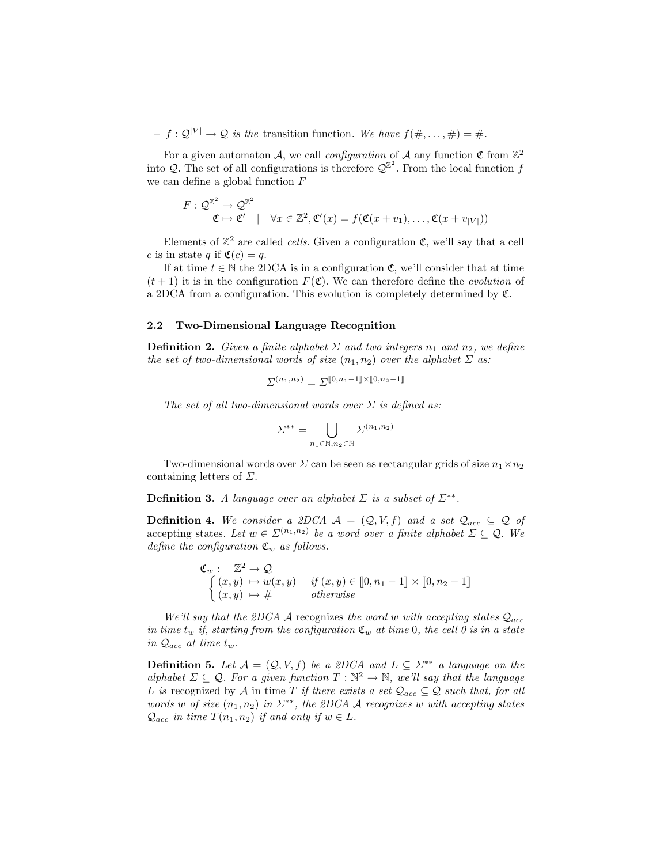$-f: \mathcal{Q}^{|V|} \to \mathcal{Q}$  is the transition function. We have  $f(\#,\ldots,\#)=\#$ .

For a given automaton A, we call *configuration* of A any function  $\mathfrak C$  from  $\mathbb Z^2$ into Q. The set of all configurations is therefore  $\mathcal{Q}^{\mathbb{Z}^2}$ . From the local function f we can define a global function F

$$
F: \mathcal{Q}^{\mathbb{Z}^2} \to \mathcal{Q}^{\mathbb{Z}^2}
$$
  

$$
\mathfrak{C} \mapsto \mathfrak{C}' \quad | \quad \forall x \in \mathbb{Z}^2, \mathfrak{C}'(x) = f(\mathfrak{C}(x+v_1), \dots, \mathfrak{C}(x+v_{|V|}))
$$

Elements of  $\mathbb{Z}^2$  are called *cells*. Given a configuration  $\mathfrak{C}$ , we'll say that a cell c is in state q if  $\mathfrak{C}(c) = q$ .

If at time  $t \in \mathbb{N}$  the 2DCA is in a configuration  $\mathfrak{C}$ , we'll consider that at time  $(t + 1)$  it is in the configuration  $F(\mathfrak{C})$ . We can therefore define the *evolution* of a 2DCA from a configuration. This evolution is completely determined by C.

### 2.2 Two-Dimensional Language Recognition

**Definition 2.** Given a finite alphabet  $\Sigma$  and two integers  $n_1$  and  $n_2$ , we define the set of two-dimensional words of size  $(n_1, n_2)$  over the alphabet  $\Sigma$  as:

$$
\varSigma^{(n_1,n_2)}=\varSigma^{\llbracket 0,n_1-1\rrbracket\times\llbracket 0,n_2-1\rrbracket}
$$

The set of all two-dimensional words over  $\Sigma$  is defined as:

$$
\varSigma^{**}=\bigcup_{n_1\in\mathbb{N},n_2\in\mathbb{N}}\varSigma^{(n_1,n_2)}
$$

Two-dimensional words over  $\Sigma$  can be seen as rectangular grids of size  $n_1 \times n_2$ containing letters of  $\Sigma$ .

**Definition 3.** A language over an alphabet  $\Sigma$  is a subset of  $\Sigma^{**}$ .

**Definition 4.** We consider a 2DCA  $\mathcal{A} = (\mathcal{Q}, V, f)$  and a set  $\mathcal{Q}_{acc} \subseteq \mathcal{Q}$  of accepting states. Let  $w \in \Sigma^{(n_1,n_2)}$  be a word over a finite alphabet  $\Sigma \subseteq \mathcal{Q}$ . We define the configuration  $\mathfrak{C}_w$  as follows.

$$
\mathfrak{C}_w: \quad \mathbb{Z}^2 \to \mathcal{Q} \n\begin{cases}\n(x, y) \mapsto w(x, y) & \text{if } (x, y) \in [\![0, n_1 - 1]\!] \times [\![0, n_2 - 1]\!] \\
(x, y) \mapsto \# & otherwise\n\end{cases}
$$

We'll say that the 2DCA A recognizes the word w with accepting states  $\mathcal{Q}_{acc}$ in time  $t_w$  if, starting from the configuration  $\mathfrak{C}_w$  at time 0, the cell 0 is in a state in  $\mathcal{Q}_{acc}$  at time  $t_w$ .

**Definition 5.** Let  $A = (Q, V, f)$  be a 2DCA and  $L \subseteq \Sigma^{**}$  a language on the alphabet  $\Sigma \subseteq Q$ . For a given function  $T : \mathbb{N}^2 \to \mathbb{N}$ , we'll say that the language L is recognized by A in time T if there exists a set  $\mathcal{Q}_{acc} \subseteq \mathcal{Q}$  such that, for all words w of size  $(n_1, n_2)$  in  $\Sigma^{**}$ , the 2DCA A recognizes w with accepting states  $\mathcal{Q}_{acc}$  in time  $T(n_1, n_2)$  if and only if  $w \in L$ .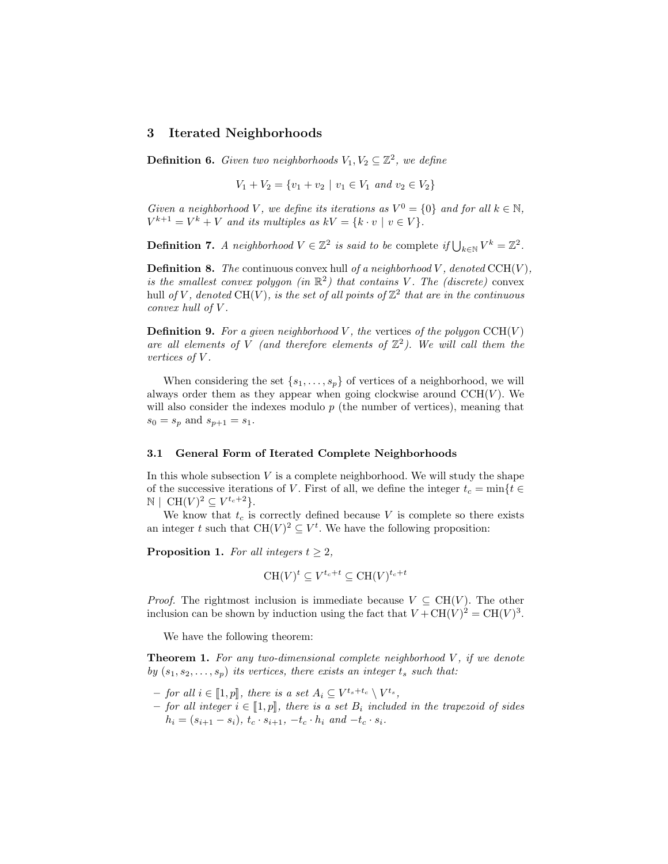## 3 Iterated Neighborhoods

**Definition 6.** Given two neighborhoods  $V_1, V_2 \subseteq \mathbb{Z}^2$ , we define

 $V_1 + V_2 = \{v_1 + v_2 \mid v_1 \in V_1 \text{ and } v_2 \in V_2\}$ 

Given a neighborhood V, we define its iterations as  $V^0 = \{0\}$  and for all  $k \in \mathbb{N}$ ,  $V^{k+1} = V^k + V$  and its multiples as  $kV = \{k \cdot v \mid v \in V\}.$ 

**Definition 7.** A neighborhood  $V \in \mathbb{Z}^2$  is said to be complete if  $\bigcup_{k \in \mathbb{N}} V^k = \mathbb{Z}^2$ .

**Definition 8.** The continuous convex hull of a neighborhood V, denoted  $CCH(V)$ , is the smallest convex polygon (in  $\mathbb{R}^2$ ) that contains V. The (discrete) convex hull of V, denoted CH(V), is the set of all points of  $\mathbb{Z}^2$  that are in the continuous convex hull of V.

**Definition 9.** For a given neighborhood V, the vertices of the polygon  $CCH(V)$ are all elements of V (and therefore elements of  $\mathbb{Z}^2$ ). We will call them the vertices of V.

When considering the set  $\{s_1, \ldots, s_p\}$  of vertices of a neighborhood, we will always order them as they appear when going clockwise around  $\mathrm{CCH}(V)$ . We will also consider the indexes modulo  $p$  (the number of vertices), meaning that  $s_0 = s_p$  and  $s_{p+1} = s_1$ .

### 3.1 General Form of Iterated Complete Neighborhoods

In this whole subsection  $V$  is a complete neighborhood. We will study the shape of the successive iterations of V. First of all, we define the integer  $t_c = \min\{t \in$  $\mathbb{N} \mid \mathrm{CH}(V)^2 \subseteq V^{t_c+2}$ .

We know that  $t_c$  is correctly defined because V is complete so there exists an integer t such that  $CH(V)^2 \subseteq V^t$ . We have the following proposition:

**Proposition 1.** For all integers  $t \geq 2$ ,

$$
CH(V)^t \subseteq V^{t_c+t} \subseteq CH(V)^{t_c+t}
$$

*Proof.* The rightmost inclusion is immediate because  $V \subseteq CH(V)$ . The other inclusion can be shown by induction using the fact that  $V + CH(V)^2 = CH(V)^3$ .

We have the following theorem:

**Theorem 1.** For any two-dimensional complete neighborhood  $V$ , if we denote by  $(s_1, s_2, \ldots, s_p)$  its vertices, there exists an integer  $t_s$  such that:

- $\begin{aligned} -\text{ for all } i \in \llbracket 1,p \rrbracket, \text{ there is a set } A_i \subseteq V^{t_s+t_c} \setminus V^{t_s}, \\ \text{for all integer } i \in \llbracket 1,x \rrbracket \text{ there is a set } B_i \text{ includes } \end{aligned}$
- for all integer  $i \in [1, p]$ , there is a set  $B_i$  included in the trapezoid of sides  $h_i = (s_{i+1} - s_i), t_c \cdot s_{i+1}, -t_c \cdot h_i$  and  $-t_c \cdot s_i$ .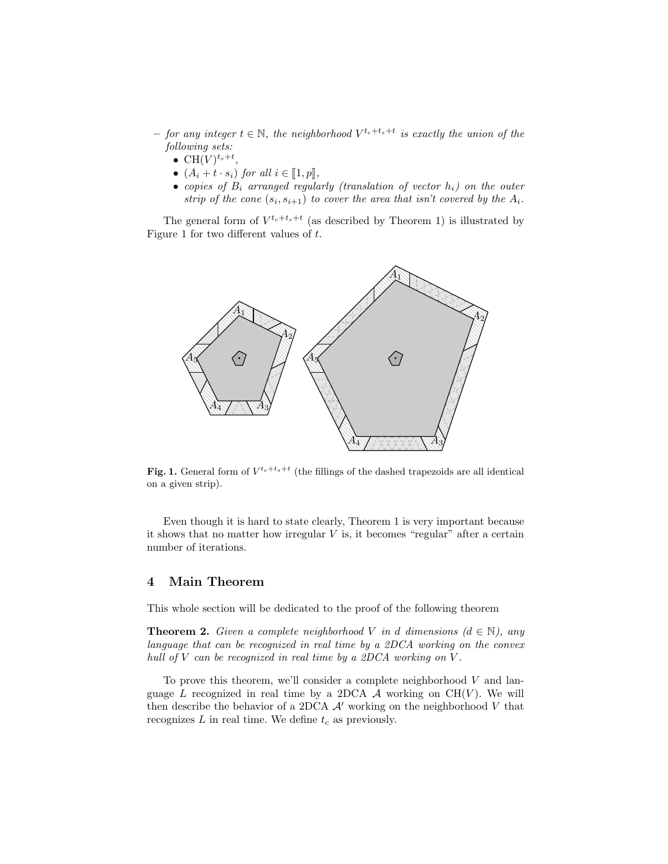- $-$  for any integer  $t \in \mathbb{N}$ , the neighborhood  $V^{t_c+t_s+t}$  is exactly the union of the following sets:
	- CH $(V)^{t_s+t}$ ,
	- $(A_i + t \cdot s_i)$  for all  $i \in [\![1, p]\!]$ ,
	- copies of  $B_i$  arranged regularly (translation of vector  $h_i$ ) on the outer strip of the cone  $(s_i, s_{i+1})$  to cover the area that isn't covered by the  $A_i$ .

The general form of  $V^{t_c+t_s+t}$  (as described by Theorem 1) is illustrated by Figure 1 for two different values of t.



Fig. 1. General form of  $V^{t_c+t_s+t}$  (the fillings of the dashed trapezoids are all identical on a given strip).

Even though it is hard to state clearly, Theorem 1 is very important because it shows that no matter how irregular  $V$  is, it becomes "regular" after a certain number of iterations.

# 4 Main Theorem

This whole section will be dedicated to the proof of the following theorem

**Theorem 2.** Given a complete neighborhood V in d dimensions  $(d \in \mathbb{N})$ , any language that can be recognized in real time by a 2DCA working on the convex hull of  $V$  can be recognized in real time by a 2DCA working on  $V$ .

To prove this theorem, we'll consider a complete neighborhood  $V$  and language L recognized in real time by a 2DCA A working on  $CH(V)$ . We will then describe the behavior of a 2DCA  $\mathcal{A}'$  working on the neighborhood V that recognizes  $L$  in real time. We define  $t_c$  as previously.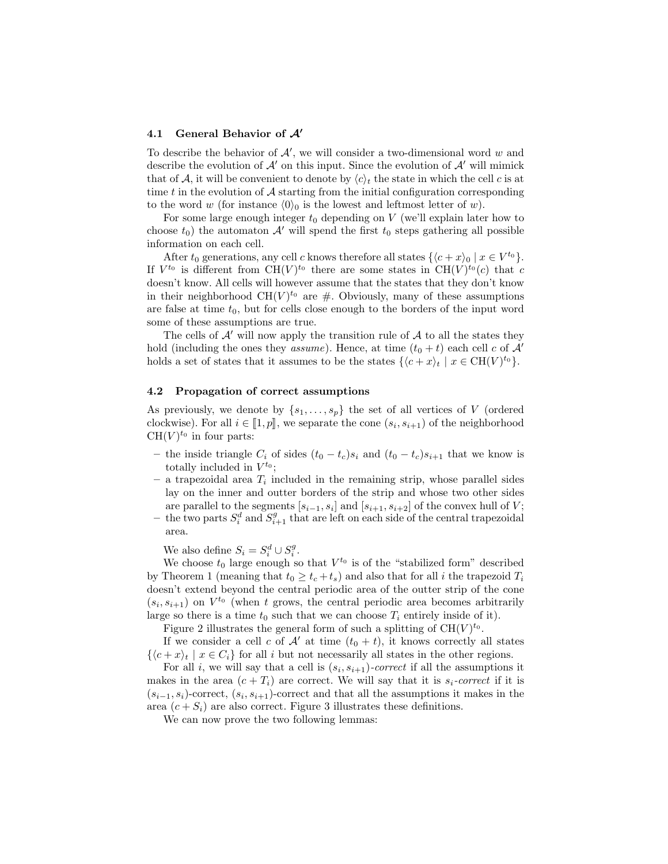### 4.1 General Behavior of  $A'$

To describe the behavior of  $A'$ , we will consider a two-dimensional word w and describe the evolution of  $\mathcal{A}'$  on this input. Since the evolution of  $\mathcal{A}'$  will mimick that of A, it will be convenient to denote by  $\langle c \rangle_t$  the state in which the cell c is at time  $t$  in the evolution of  $A$  starting from the initial configuration corresponding to the word w (for instance  $\langle 0 \rangle_0$  is the lowest and leftmost letter of w).

For some large enough integer  $t_0$  depending on V (we'll explain later how to choose  $t_0$ ) the automaton  $A'$  will spend the first  $t_0$  steps gathering all possible information on each cell.

After  $t_0$  generations, any cell c knows therefore all states  $\{\langle c + x \rangle_0 | x \in V^{t_0}\}.$ If  $V^{t_0}$  is different from  $CH(V)^{t_0}$  there are some states in  $CH(V)^{t_0}(c)$  that c doesn't know. All cells will however assume that the states that they don't know in their neighborhood  $CH(V)^{t_0}$  are #. Obviously, many of these assumptions are false at time  $t_0$ , but for cells close enough to the borders of the input word some of these assumptions are true.

The cells of  $A'$  will now apply the transition rule of  $A$  to all the states they hold (including the ones they *assume*). Hence, at time  $(t_0 + t)$  each cell c of A' holds a set of states that it assumes to be the states  $\{ \langle c + x \rangle_t | x \in \text{CH}(V)^{t_0} \}.$ 

#### 4.2 Propagation of correct assumptions

As previously, we denote by  $\{s_1, \ldots, s_p\}$  the set of all vertices of V (ordered clockwise). For all  $i \in [\![1,p]\!]$ , we separate the cone  $(s_i, s_{i+1})$  of the neighborhood  $CH(U)^{t_0}$  in four parts:  $CH(V)^{t_0}$  in four parts:

- the inside triangle  $C_i$  of sides  $(t_0 t_c)s_i$  and  $(t_0 t_c)s_{i+1}$  that we know is totally included in  $V^{t_0}$ ;
- $-$  a trapezoidal area  $T_i$  included in the remaining strip, whose parallel sides lay on the inner and outter borders of the strip and whose two other sides are parallel to the segments  $[s_{i-1}, s_i]$  and  $[s_{i+1}, s_{i+2}]$  of the convex hull of V;
- the two parts  $S_i^d$  and  $S_{i+1}^g$  that are left on each side of the central trapezoidal area.

We also define  $S_i = S_i^d \cup S_i^g$ .

We choose  $t_0$  large enough so that  $V^{t_0}$  is of the "stabilized form" described by Theorem 1 (meaning that  $t_0 \geq t_c + t_s$ ) and also that for all i the trapezoid  $T_i$ doesn't extend beyond the central periodic area of the outter strip of the cone  $(s_i, s_{i+1})$  on  $V^{t_0}$  (when t grows, the central periodic area becomes arbitrarily large so there is a time  $t_0$  such that we can choose  $T_i$  entirely inside of it).

Figure 2 illustrates the general form of such a splitting of  $CH(V)^{t_0}$ .

If we consider a cell c of  $\mathcal{A}'$  at time  $(t_0 + t)$ , it knows correctly all states  $\{ \langle c + x \rangle_t \mid x \in C_i \}$  for all i but not necessarily all states in the other regions.

For all *i*, we will say that a cell is  $(s_i, s_{i+1})$ -correct if all the assumptions it makes in the area  $(c + T_i)$  are correct. We will say that it is  $s_i$ -correct if it is  $(s_{i-1}, s_i)$ -correct,  $(s_i, s_{i+1})$ -correct and that all the assumptions it makes in the area  $(c + S_i)$  are also correct. Figure 3 illustrates these definitions.

We can now prove the two following lemmas: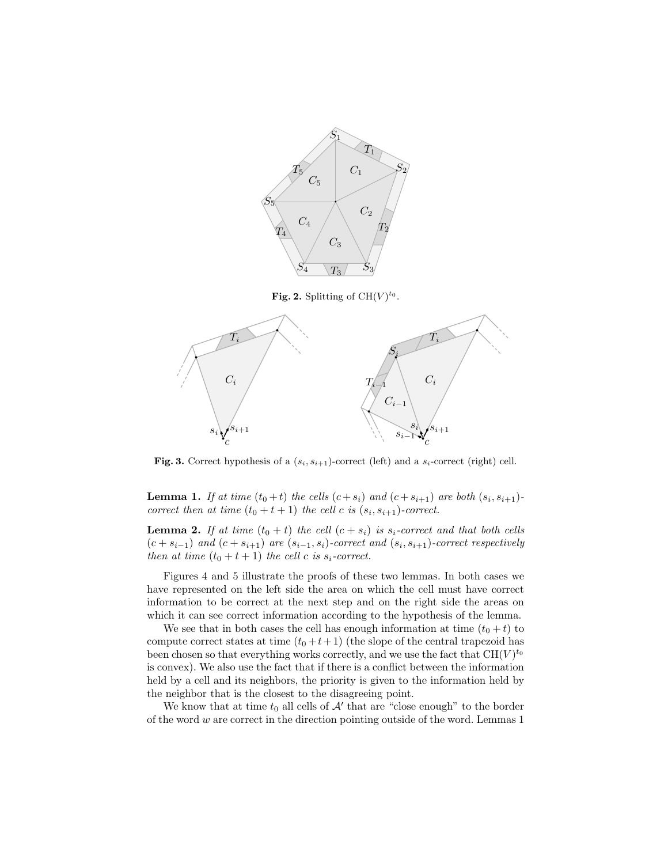

Fig. 2. Splitting of  $CH(V)^{t_0}$ .



Fig. 3. Correct hypothesis of a  $(s_i, s_{i+1})$ -correct (left) and a  $s_i$ -correct (right) cell.

**Lemma 1.** If at time  $(t_0 + t)$  the cells  $(c + s_i)$  and  $(c + s_{i+1})$  are both  $(s_i, s_{i+1})$ correct then at time  $(t_0 + t + 1)$  the cell c is  $(s_i, s_{i+1})$ -correct.

**Lemma 2.** If at time  $(t_0 + t)$  the cell  $(c + s_i)$  is  $s_i$ -correct and that both cells  $(c + s_{i-1})$  and  $(c + s_{i+1})$  are  $(s_{i-1}, s_i)$ -correct and  $(s_i, s_{i+1})$ -correct respectively then at time  $(t_0 + t + 1)$  the cell c is  $s_i$ -correct.

Figures 4 and 5 illustrate the proofs of these two lemmas. In both cases we have represented on the left side the area on which the cell must have correct information to be correct at the next step and on the right side the areas on which it can see correct information according to the hypothesis of the lemma.

We see that in both cases the cell has enough information at time  $(t_0 + t)$  to compute correct states at time  $(t_0 + t + 1)$  (the slope of the central trapezoid has been chosen so that everything works correctly, and we use the fact that  $\mathrm{CH}(V)^{t_0}$ is convex). We also use the fact that if there is a conflict between the information held by a cell and its neighbors, the priority is given to the information held by the neighbor that is the closest to the disagreeing point.

We know that at time  $t_0$  all cells of  $\mathcal{A}'$  that are "close enough" to the border of the word  $w$  are correct in the direction pointing outside of the word. Lemmas  $1$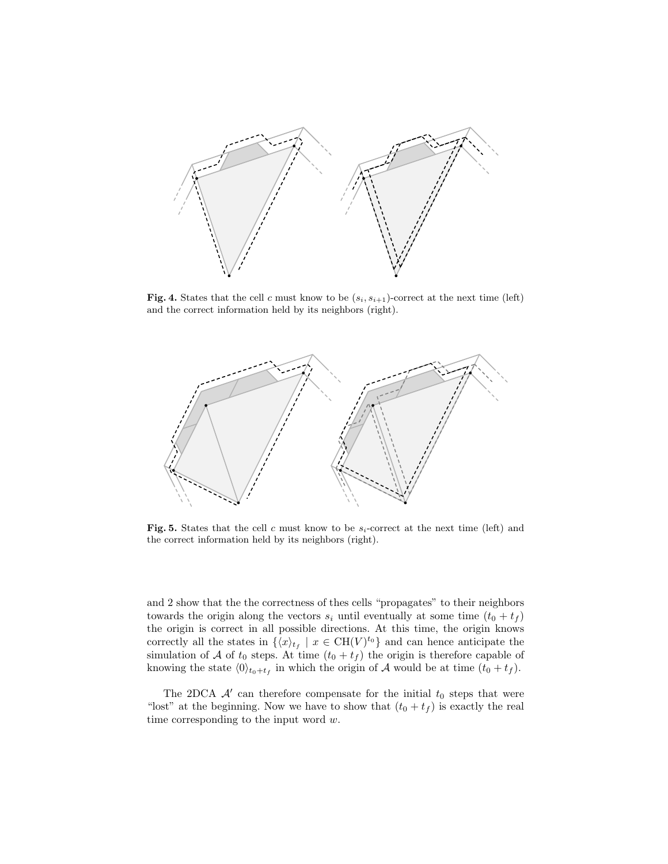

Fig. 4. States that the cell c must know to be  $(s_i, s_{i+1})$ -correct at the next time (left) and the correct information held by its neighbors (right).



Fig. 5. States that the cell c must know to be  $s_i$ -correct at the next time (left) and the correct information held by its neighbors (right).

and 2 show that the the correctness of thes cells "propagates" to their neighbors towards the origin along the vectors  $s_i$  until eventually at some time  $(t_0 + t_f)$ the origin is correct in all possible directions. At this time, the origin knows correctly all the states in  $\{\langle x \rangle_{t} \mid x \in \text{CH}(V)^{t_0}\}\$  and can hence anticipate the simulation of A of  $t_0$  steps. At time  $(t_0 + t_f)$  the origin is therefore capable of knowing the state  $\langle 0 \rangle_{t_0+t_f}$  in which the origin of A would be at time  $(t_0 + t_f)$ .

The 2DCA  $\mathcal{A}'$  can therefore compensate for the initial  $t_0$  steps that were "lost" at the beginning. Now we have to show that  $(t_0 + t_f)$  is exactly the real time corresponding to the input word  $w$ .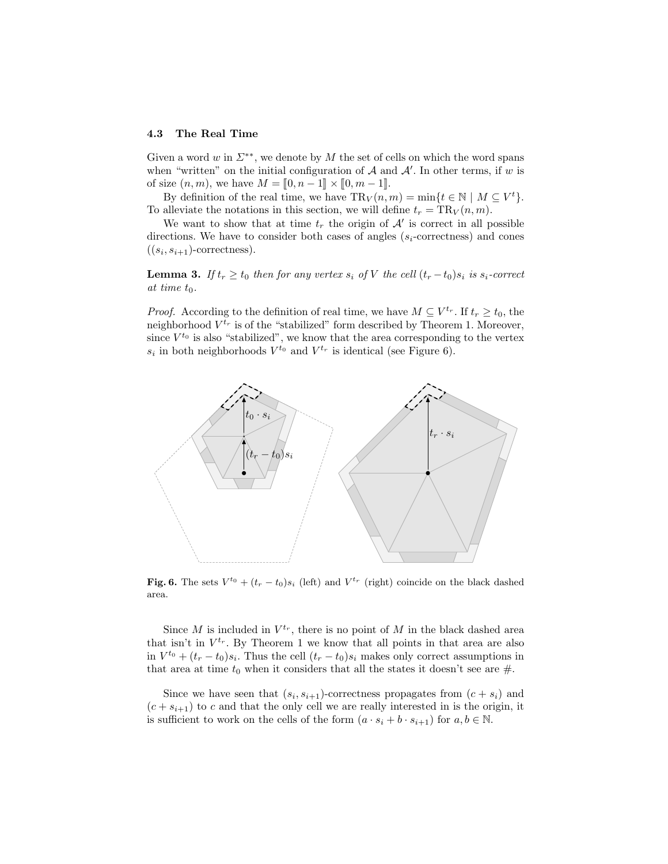### 4.3 The Real Time

Given a word w in  $\Sigma^{**}$ , we denote by M the set of cells on which the word spans when "written" on the initial configuration of  $A$  and  $A'$ . In other terms, if w is of size  $(n, m)$ , we have  $M = [0, n - 1] \times [0, m - 1]$ .

By definition of the real time, we have  $\text{TR}_V(n,m) = \min\{t \in \mathbb{N} \mid M \subseteq V^t\}.$ To alleviate the notations in this section, we will define  $t_r = TR_V(n, m)$ .

We want to show that at time  $t_r$  the origin of  $\mathcal{A}'$  is correct in all possible directions. We have to consider both cases of angles  $(s_i$ -correctness) and cones  $((s_i, s_{i+1})$ -correctness).

**Lemma 3.** If  $t_r \geq t_0$  then for any vertex  $s_i$  of V the cell  $(t_r - t_0)s_i$  is  $s_i$ -correct at time  $t_0$ .

*Proof.* According to the definition of real time, we have  $M \subseteq V^{t_r}$ . If  $t_r \geq t_0$ , the neighborhood  $V^{t_r}$  is of the "stabilized" form described by Theorem 1. Moreover, since  $V^{t_0}$  is also "stabilized", we know that the area corresponding to the vertex  $s_i$  in both neighborhoods  $V^{t_0}$  and  $V^{t_r}$  is identical (see Figure 6).



**Fig. 6.** The sets  $V^{t_0} + (t_r - t_0)s_i$  (left) and  $V^{t_r}$  (right) coincide on the black dashed area.

Since M is included in  $V^{t_r}$ , there is no point of M in the black dashed area that isn't in  $V^{t_r}$ . By Theorem 1 we know that all points in that area are also in  $V^{t_0} + (t_r - t_0)s_i$ . Thus the cell  $(t_r - t_0)s_i$  makes only correct assumptions in that area at time  $t_0$  when it considers that all the states it doesn't see are  $\#$ .

Since we have seen that  $(s_i, s_{i+1})$ -correctness propagates from  $(c + s_i)$  and  $(c + s_{i+1})$  to c and that the only cell we are really interested in is the origin, it is sufficient to work on the cells of the form  $(a \cdot s_i + b \cdot s_{i+1})$  for  $a, b \in \mathbb{N}$ .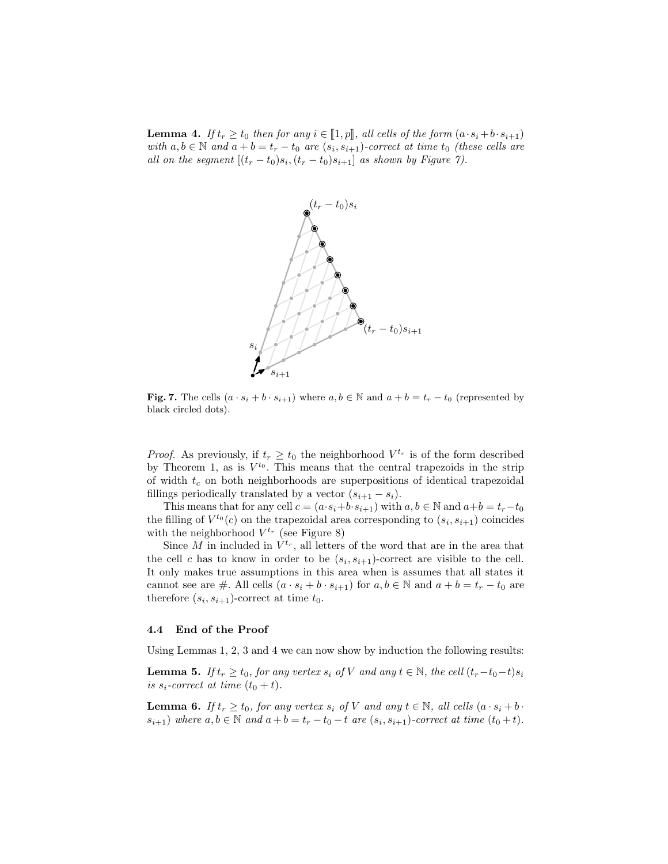**Lemma 4.** If  $t_r \geq t_0$  then for any  $i \in [1, p]$ , all cells of the form  $(a \cdot s_i + b \cdot s_{i+1})$ with  $a, b \in \mathbb{N}$  and  $a + b = t_r - t_0$  are  $(s_i, s_{i+1})$ -correct at time  $t_0$  (these cells are all on the segment  $[(t_r - t_0)s_i, (t_r - t_0)s_{i+1}]$  as shown by Figure 7).



Fig. 7. The cells  $(a \cdot s_i + b \cdot s_{i+1})$  where  $a, b \in \mathbb{N}$  and  $a + b = t_r - t_0$  (represented by black circled dots).

*Proof.* As previously, if  $t_r \geq t_0$  the neighborhood  $V^{t_r}$  is of the form described by Theorem 1, as is  $V^{t_0}$ . This means that the central trapezoids in the strip of width  $t_c$  on both neighborhoods are superpositions of identical trapezoidal fillings periodically translated by a vector  $(s_{i+1} - s_i)$ .

This means that for any cell  $c = (a \cdot s_i + b \cdot s_{i+1})$  with  $a, b \in \mathbb{N}$  and  $a+b = t_r-t_0$ the filling of  $V^{t_0}(c)$  on the trapezoidal area corresponding to  $(s_i, s_{i+1})$  coincides with the neighborhood  $V^{t_r}$  (see Figure 8)

Since M in included in  $V^{t_r}$ , all letters of the word that are in the area that the cell c has to know in order to be  $(s_i, s_{i+1})$ -correct are visible to the cell. It only makes true assumptions in this area when is assumes that all states it cannot see are #. All cells  $(a \cdot s_i + b \cdot s_{i+1})$  for  $a, b \in \mathbb{N}$  and  $a + b = t_r - t_0$  are therefore  $(s_i, s_{i+1})$ -correct at time  $t_0$ .

### 4.4 End of the Proof

Using Lemmas 1, 2, 3 and 4 we can now show by induction the following results:

**Lemma 5.** If  $t_r \ge t_0$ , for any vertex  $s_i$  of V and any  $t \in \mathbb{N}$ , the cell  $(t_r-t_0-t)s_i$ is  $s_i$ -correct at time  $(t_0 + t)$ .

**Lemma 6.** If  $t_r \geq t_0$ , for any vertex  $s_i$  of V and any  $t \in \mathbb{N}$ , all cells  $(a \cdot s_i + b \cdot$  $s_{i+1}$ ) where  $a, b \in \mathbb{N}$  and  $a + b = t_r - t_0 - t$  are  $(s_i, s_{i+1})$ -correct at time  $(t_0 + t)$ .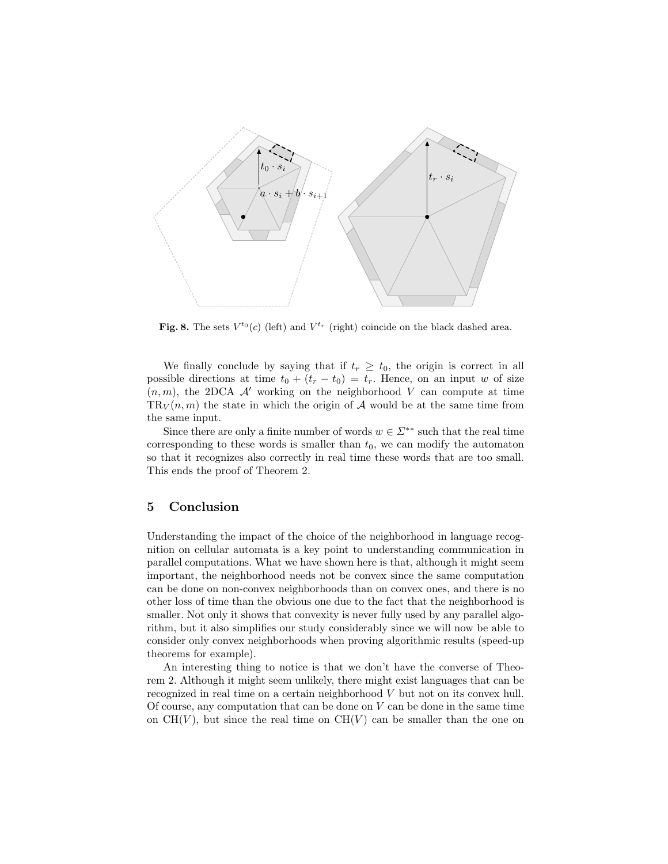

Fig. 8. The sets  $V^{t_0}(c)$  (left) and  $V^{t_r}$  (right) coincide on the black dashed area.

We finally conclude by saying that if  $t_r \geq t_0$ , the origin is correct in all possible directions at time  $t_0 + (t_r - t_0) = t_r$ . Hence, on an input w of size  $(n, m)$ , the 2DCA A' working on the neighborhood V can compute at time  $TR_V(n,m)$  the state in which the origin of A would be at the same time from the same input.

Since there are only a finite number of words  $w \in \Sigma^{**}$  such that the real time corresponding to these words is smaller than  $t_0$ , we can modify the automaton so that it recognizes also correctly in real time these words that are too small. This ends the proof of Theorem 2.

## 5 Conclusion

Understanding the impact of the choice of the neighborhood in language recognition on cellular automata is a key point to understanding communication in parallel computations. What we have shown here is that, although it might seem important, the neighborhood needs not be convex since the same computation can be done on non-convex neighborhoods than on convex ones, and there is no other loss of time than the obvious one due to the fact that the neighborhood is smaller. Not only it shows that convexity is never fully used by any parallel algorithm, but it also simplifies our study considerably since we will now be able to consider only convex neighborhoods when proving algorithmic results (speed-up theorems for example).

An interesting thing to notice is that we don't have the converse of Theorem 2. Although it might seem unlikely, there might exist languages that can be recognized in real time on a certain neighborhood V but not on its convex hull. Of course, any computation that can be done on  $V$  can be done in the same time on  $CH(V)$ , but since the real time on  $CH(V)$  can be smaller than the one on